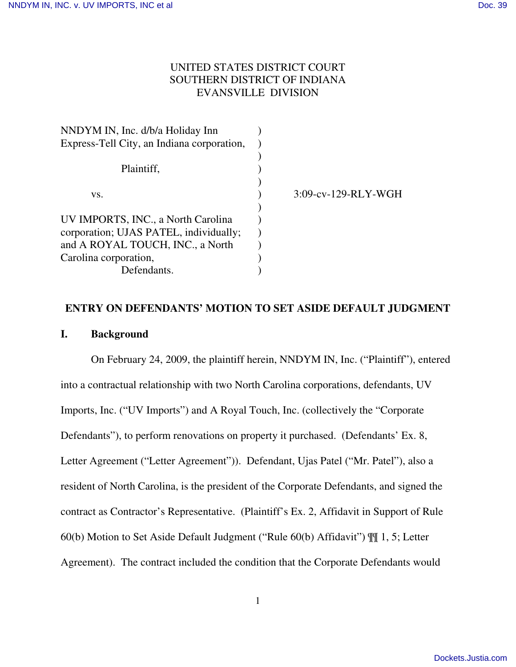# UNITED STATES DISTRICT COURT SOUTHERN DISTRICT OF INDIANA EVANSVILLE DIVISION

| NNDYM IN, Inc. d/b/a Holiday Inn           |                        |
|--------------------------------------------|------------------------|
| Express-Tell City, an Indiana corporation, |                        |
|                                            |                        |
| Plaintiff,                                 |                        |
|                                            |                        |
| VS.                                        | $3:09$ -cv-129-RLY-WGH |
|                                            |                        |
| UV IMPORTS, INC., a North Carolina         |                        |
| corporation; UJAS PATEL, individually;     |                        |
| and A ROYAL TOUCH, INC., a North           |                        |
| Carolina corporation,                      |                        |
| Defendants.                                |                        |
|                                            |                        |

# **ENTRY ON DEFENDANTS' MOTION TO SET ASIDE DEFAULT JUDGMENT I. Background**

On February 24, 2009, the plaintiff herein, NNDYM IN, Inc. ("Plaintiff"), entered into a contractual relationship with two North Carolina corporations, defendants, UV Imports, Inc. ("UV Imports") and A Royal Touch, Inc. (collectively the "Corporate Defendants"), to perform renovations on property it purchased. (Defendants' Ex. 8, Letter Agreement ("Letter Agreement")). Defendant, Ujas Patel ("Mr. Patel"), also a resident of North Carolina, is the president of the Corporate Defendants, and signed the contract as Contractor's Representative. (Plaintiff's Ex. 2, Affidavit in Support of Rule 60(b) Motion to Set Aside Default Judgment ("Rule 60(b) Affidavit") ¶¶ 1, 5; Letter Agreement). The contract included the condition that the Corporate Defendants would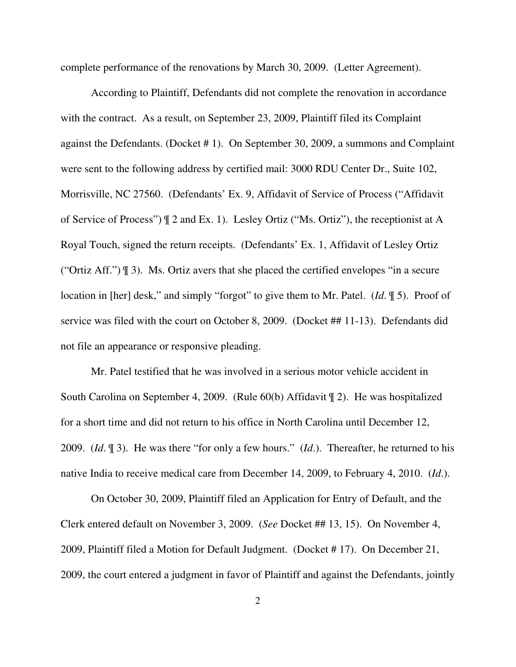complete performance of the renovations by March 30, 2009. (Letter Agreement).

According to Plaintiff, Defendants did not complete the renovation in accordance with the contract. As a result, on September 23, 2009, Plaintiff filed its Complaint against the Defendants. (Docket # 1). On September 30, 2009, a summons and Complaint were sent to the following address by certified mail: 3000 RDU Center Dr., Suite 102, Morrisville, NC 27560. (Defendants' Ex. 9, Affidavit of Service of Process ("Affidavit of Service of Process") ¶ 2 and Ex. 1). Lesley Ortiz ("Ms. Ortiz"), the receptionist at A Royal Touch, signed the return receipts. (Defendants' Ex. 1, Affidavit of Lesley Ortiz ("Ortiz Aff.") ¶ 3). Ms. Ortiz avers that she placed the certified envelopes "in a secure location in [her] desk," and simply "forgot" to give them to Mr. Patel. (*Id*. ¶ 5). Proof of service was filed with the court on October 8, 2009. (Docket ## 11-13). Defendants did not file an appearance or responsive pleading.

Mr. Patel testified that he was involved in a serious motor vehicle accident in South Carolina on September 4, 2009. (Rule 60(b) Affidavit ¶ 2). He was hospitalized for a short time and did not return to his office in North Carolina until December 12, 2009. (*Id*. ¶ 3). He was there "for only a few hours." (*Id*.). Thereafter, he returned to his native India to receive medical care from December 14, 2009, to February 4, 2010. (*Id*.).

On October 30, 2009, Plaintiff filed an Application for Entry of Default, and the Clerk entered default on November 3, 2009. (*See* Docket ## 13, 15). On November 4, 2009, Plaintiff filed a Motion for Default Judgment. (Docket # 17). On December 21, 2009, the court entered a judgment in favor of Plaintiff and against the Defendants, jointly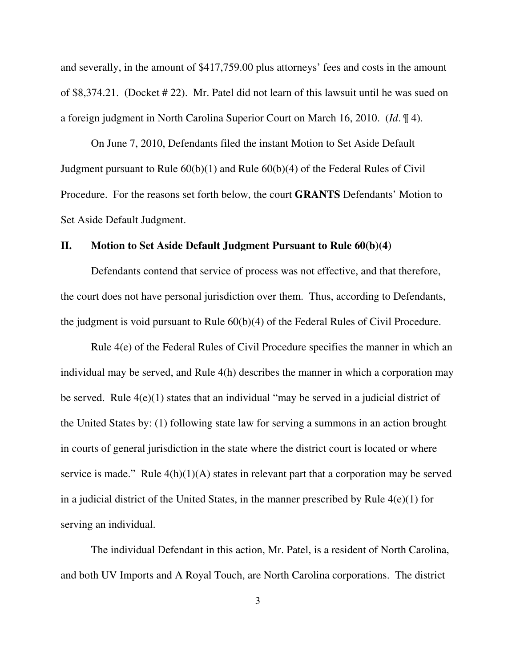and severally, in the amount of \$417,759.00 plus attorneys' fees and costs in the amount of \$8,374.21. (Docket # 22). Mr. Patel did not learn of this lawsuit until he was sued on a foreign judgment in North Carolina Superior Court on March 16, 2010. (*Id*. ¶ 4).

On June 7, 2010, Defendants filed the instant Motion to Set Aside Default Judgment pursuant to Rule 60(b)(1) and Rule 60(b)(4) of the Federal Rules of Civil Procedure. For the reasons set forth below, the court **GRANTS** Defendants' Motion to Set Aside Default Judgment.

#### **II. Motion to Set Aside Default Judgment Pursuant to Rule 60(b)(4)**

Defendants contend that service of process was not effective, and that therefore, the court does not have personal jurisdiction over them. Thus, according to Defendants, the judgment is void pursuant to Rule 60(b)(4) of the Federal Rules of Civil Procedure.

Rule 4(e) of the Federal Rules of Civil Procedure specifies the manner in which an individual may be served, and Rule 4(h) describes the manner in which a corporation may be served. Rule 4(e)(1) states that an individual "may be served in a judicial district of the United States by: (1) following state law for serving a summons in an action brought in courts of general jurisdiction in the state where the district court is located or where service is made." Rule  $4(h)(1)(A)$  states in relevant part that a corporation may be served in a judicial district of the United States, in the manner prescribed by Rule 4(e)(1) for serving an individual.

The individual Defendant in this action, Mr. Patel, is a resident of North Carolina, and both UV Imports and A Royal Touch, are North Carolina corporations. The district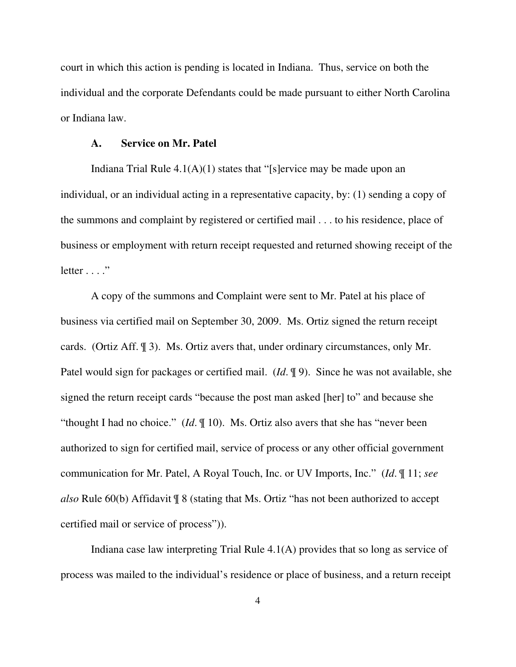court in which this action is pending is located in Indiana. Thus, service on both the individual and the corporate Defendants could be made pursuant to either North Carolina or Indiana law.

#### **A. Service on Mr. Patel**

Indiana Trial Rule  $4.1(A)(1)$  states that "[s]ervice may be made upon an individual, or an individual acting in a representative capacity, by: (1) sending a copy of the summons and complaint by registered or certified mail . . . to his residence, place of business or employment with return receipt requested and returned showing receipt of the  $letter \dots$ "

A copy of the summons and Complaint were sent to Mr. Patel at his place of business via certified mail on September 30, 2009. Ms. Ortiz signed the return receipt cards. (Ortiz Aff. ¶ 3). Ms. Ortiz avers that, under ordinary circumstances, only Mr. Patel would sign for packages or certified mail. (*Id*. ¶ 9). Since he was not available, she signed the return receipt cards "because the post man asked [her] to" and because she "thought I had no choice." (*Id*. ¶ 10). Ms. Ortiz also avers that she has "never been authorized to sign for certified mail, service of process or any other official government communication for Mr. Patel, A Royal Touch, Inc. or UV Imports, Inc." (*Id*. ¶ 11; *see also* Rule 60(b) Affidavit ¶ 8 (stating that Ms. Ortiz "has not been authorized to accept certified mail or service of process")).

Indiana case law interpreting Trial Rule 4.1(A) provides that so long as service of process was mailed to the individual's residence or place of business, and a return receipt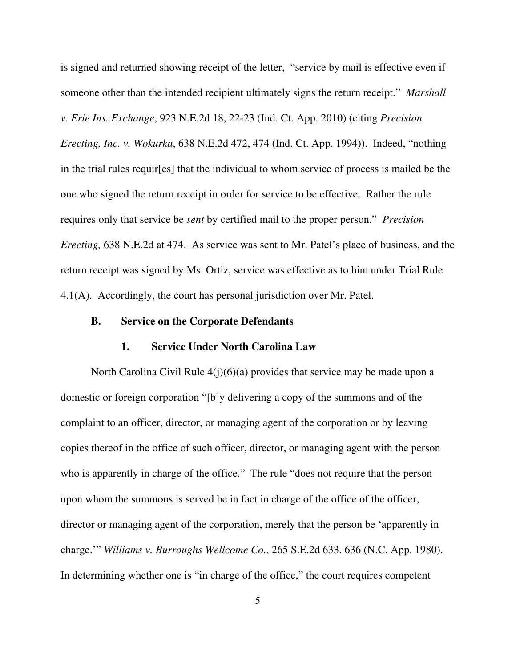is signed and returned showing receipt of the letter, "service by mail is effective even if someone other than the intended recipient ultimately signs the return receipt." *Marshall v. Erie Ins. Exchange*, 923 N.E.2d 18, 22-23 (Ind. Ct. App. 2010) (citing *Precision Erecting, Inc. v. Wokurka*, 638 N.E.2d 472, 474 (Ind. Ct. App. 1994)). Indeed, "nothing in the trial rules requir[es] that the individual to whom service of process is mailed be the one who signed the return receipt in order for service to be effective. Rather the rule requires only that service be *sent* by certified mail to the proper person." *Precision Erecting,* 638 N.E.2d at 474. As service was sent to Mr. Patel's place of business, and the return receipt was signed by Ms. Ortiz, service was effective as to him under Trial Rule 4.1(A). Accordingly, the court has personal jurisdiction over Mr. Patel.

## **B. Service on the Corporate Defendants**

#### **1. Service Under North Carolina Law**

North Carolina Civil Rule 4(j)(6)(a) provides that service may be made upon a domestic or foreign corporation "[b]y delivering a copy of the summons and of the complaint to an officer, director, or managing agent of the corporation or by leaving copies thereof in the office of such officer, director, or managing agent with the person who is apparently in charge of the office." The rule "does not require that the person upon whom the summons is served be in fact in charge of the office of the officer, director or managing agent of the corporation, merely that the person be 'apparently in charge.'" *Williams v. Burroughs Wellcome Co.*, 265 S.E.2d 633, 636 (N.C. App. 1980). In determining whether one is "in charge of the office," the court requires competent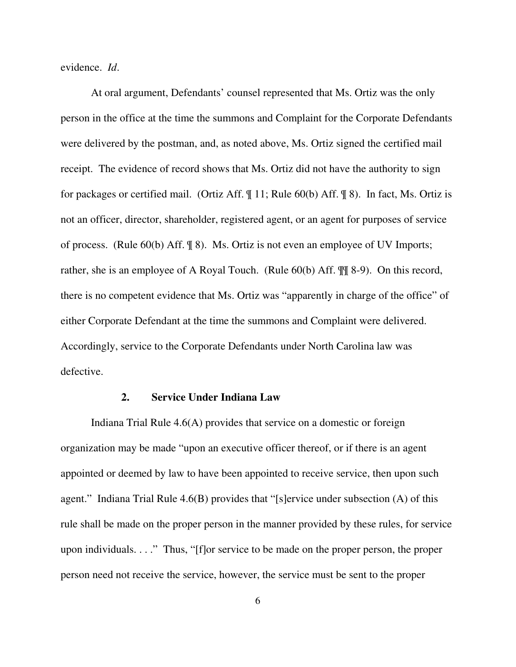evidence. *Id*.

At oral argument, Defendants' counsel represented that Ms. Ortiz was the only person in the office at the time the summons and Complaint for the Corporate Defendants were delivered by the postman, and, as noted above, Ms. Ortiz signed the certified mail receipt. The evidence of record shows that Ms. Ortiz did not have the authority to sign for packages or certified mail. (Ortiz Aff. ¶ 11; Rule 60(b) Aff. ¶ 8). In fact, Ms. Ortiz is not an officer, director, shareholder, registered agent, or an agent for purposes of service of process. (Rule 60(b) Aff. ¶ 8). Ms. Ortiz is not even an employee of UV Imports; rather, she is an employee of A Royal Touch. (Rule 60(b) Aff. ¶¶ 8-9). On this record, there is no competent evidence that Ms. Ortiz was "apparently in charge of the office" of either Corporate Defendant at the time the summons and Complaint were delivered. Accordingly, service to the Corporate Defendants under North Carolina law was defective.

#### **2. Service Under Indiana Law**

Indiana Trial Rule 4.6(A) provides that service on a domestic or foreign organization may be made "upon an executive officer thereof, or if there is an agent appointed or deemed by law to have been appointed to receive service, then upon such agent." Indiana Trial Rule 4.6(B) provides that "[s]ervice under subsection (A) of this rule shall be made on the proper person in the manner provided by these rules, for service upon individuals. . . ." Thus, "[f]or service to be made on the proper person, the proper person need not receive the service, however, the service must be sent to the proper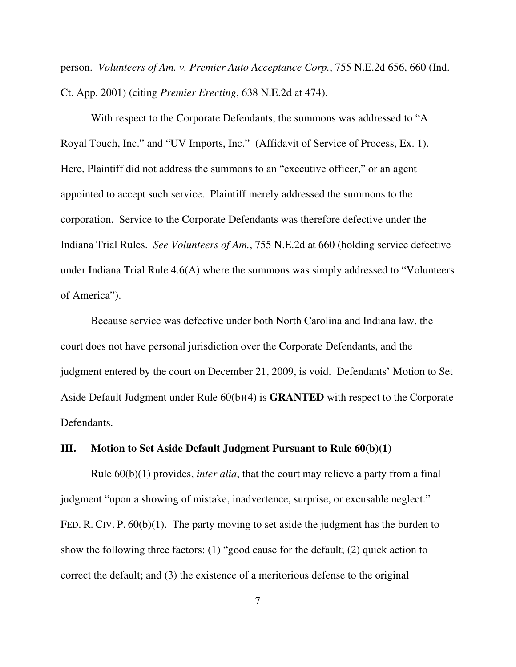person. *Volunteers of Am. v. Premier Auto Acceptance Corp.*, 755 N.E.2d 656, 660 (Ind. Ct. App. 2001) (citing *Premier Erecting*, 638 N.E.2d at 474).

With respect to the Corporate Defendants, the summons was addressed to "A Royal Touch, Inc." and "UV Imports, Inc." (Affidavit of Service of Process, Ex. 1). Here, Plaintiff did not address the summons to an "executive officer," or an agent appointed to accept such service. Plaintiff merely addressed the summons to the corporation. Service to the Corporate Defendants was therefore defective under the Indiana Trial Rules. *See Volunteers of Am.*, 755 N.E.2d at 660 (holding service defective under Indiana Trial Rule 4.6(A) where the summons was simply addressed to "Volunteers of America").

Because service was defective under both North Carolina and Indiana law, the court does not have personal jurisdiction over the Corporate Defendants, and the judgment entered by the court on December 21, 2009, is void. Defendants' Motion to Set Aside Default Judgment under Rule 60(b)(4) is **GRANTED** with respect to the Corporate Defendants.

#### **III. Motion to Set Aside Default Judgment Pursuant to Rule 60(b)(1)**

Rule 60(b)(1) provides, *inter alia*, that the court may relieve a party from a final judgment "upon a showing of mistake, inadvertence, surprise, or excusable neglect." FED. R. CIV. P.  $60(b)(1)$ . The party moving to set aside the judgment has the burden to show the following three factors: (1) "good cause for the default; (2) quick action to correct the default; and (3) the existence of a meritorious defense to the original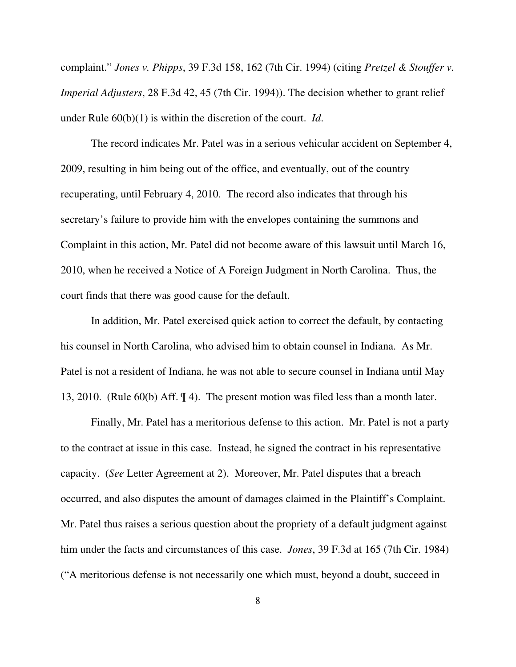complaint." *Jones v. Phipps*, 39 F.3d 158, 162 (7th Cir. 1994) (citing *Pretzel & Stouffer v. Imperial Adjusters*, 28 F.3d 42, 45 (7th Cir. 1994)). The decision whether to grant relief under Rule 60(b)(1) is within the discretion of the court. *Id*.

The record indicates Mr. Patel was in a serious vehicular accident on September 4, 2009, resulting in him being out of the office, and eventually, out of the country recuperating, until February 4, 2010. The record also indicates that through his secretary's failure to provide him with the envelopes containing the summons and Complaint in this action, Mr. Patel did not become aware of this lawsuit until March 16, 2010, when he received a Notice of A Foreign Judgment in North Carolina. Thus, the court finds that there was good cause for the default.

In addition, Mr. Patel exercised quick action to correct the default, by contacting his counsel in North Carolina, who advised him to obtain counsel in Indiana. As Mr. Patel is not a resident of Indiana, he was not able to secure counsel in Indiana until May 13, 2010. (Rule 60(b) Aff. ¶ 4). The present motion was filed less than a month later.

Finally, Mr. Patel has a meritorious defense to this action. Mr. Patel is not a party to the contract at issue in this case. Instead, he signed the contract in his representative capacity. (*See* Letter Agreement at 2). Moreover, Mr. Patel disputes that a breach occurred, and also disputes the amount of damages claimed in the Plaintiff's Complaint. Mr. Patel thus raises a serious question about the propriety of a default judgment against him under the facts and circumstances of this case. *Jones*, 39 F.3d at 165 (7th Cir. 1984) ("A meritorious defense is not necessarily one which must, beyond a doubt, succeed in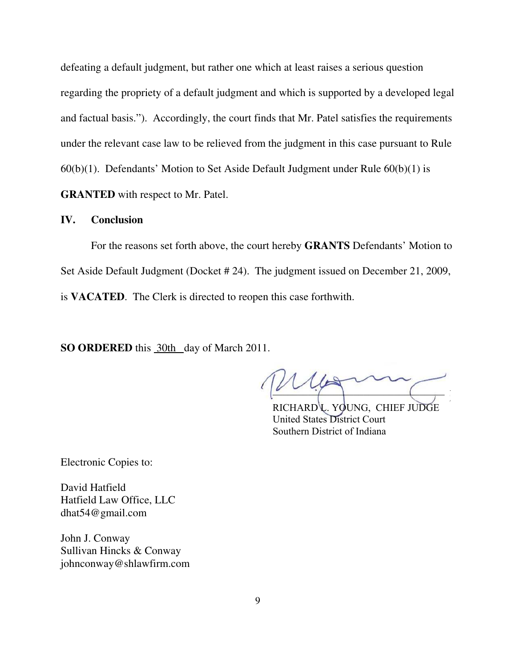defeating a default judgment, but rather one which at least raises a serious question regarding the propriety of a default judgment and which is supported by a developed legal and factual basis."). Accordingly, the court finds that Mr. Patel satisfies the requirements under the relevant case law to be relieved from the judgment in this case pursuant to Rule  $60(b)(1)$ . Defendants' Motion to Set Aside Default Judgment under Rule  $60(b)(1)$  is **GRANTED** with respect to Mr. Patel.

## **IV. Conclusion**

For the reasons set forth above, the court hereby **GRANTS** Defendants' Motion to Set Aside Default Judgment (Docket # 24). The judgment issued on December 21, 2009, is **VACATED**. The Clerk is directed to reopen this case forthwith.

**SO ORDERED** this 30th day of March 2011.

 $\mathcal{L}$  $\overline{\phantom{a}}$ 

RICHARD L. YOUNG, CHIEF JUDGE United States District Court United States District Court Southern District of Indiana

Electronic Copies to:

David Hatfield Hatfield Law Office, LLC dhat54@gmail.com

John J. Conway Sullivan Hincks & Conway johnconway@shlawfirm.com